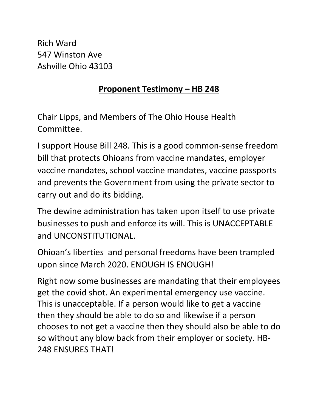Rich Ward 547 Winston Ave Ashville Ohio 43103

## **Proponent Testimony – HB 248**

Chair Lipps, and Members of The Ohio House Health Committee.

I support House Bill 248. This is a good common-sense freedom bill that protects Ohioans from vaccine mandates, employer vaccine mandates, school vaccine mandates, vaccine passports and prevents the Government from using the private sector to carry out and do its bidding.

The dewine administration has taken upon itself to use private businesses to push and enforce its will. This is UNACCEPTABLE and UNCONSTITUTIONAL.

Ohioan's liberties and personal freedoms have been trampled upon since March 2020. ENOUGH IS ENOUGH!

Right now some businesses are mandating that their employees get the covid shot. An experimental emergency use vaccine. This is unacceptable. If a person would like to get a vaccine then they should be able to do so and likewise if a person chooses to not get a vaccine then they should also be able to do so without any blow back from their employer or society. HB-248 ENSURES THAT!